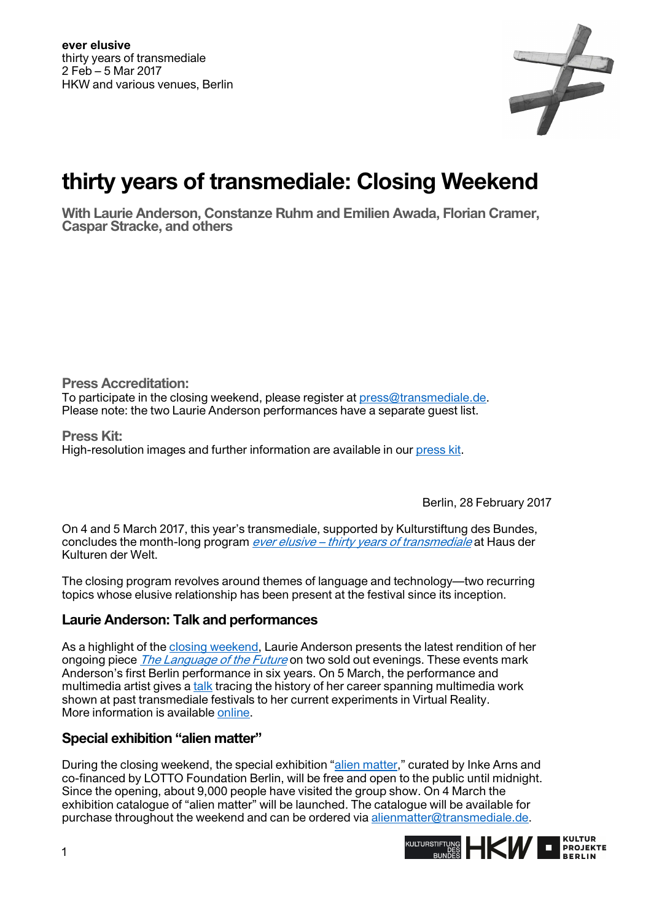

# **thirty years of transmediale: Closing Weekend**

**With Laurie Anderson, Constanze Ruhm and Emilien Awada, Florian Cramer, Caspar Stracke, and others** 

**Press Accreditation:**  To participate in the closing weekend, please register at [press@transmediale.de.](mailto:press@transmediale.de) Please note: the two Laurie Anderson performances have a separate guest list.

**Press Kit:**  High-resolution images and further information are available in our [press kit.](https://2017.transmediale.de/festival/2017/press)

Berlin, 28 February 2017

On 4 and 5 March 2017, this year's transmediale, supported by Kulturstiftung des Bundes, concludes the month-long program *[ever elusive – thirty years of transmediale](https://2017.transmediale.de/festival)* at Haus der Kulturen der Welt.

The closing program revolves around themes of language and technology—two recurring topics whose elusive relationship has been present at the festival since its inception.

# **Laurie Anderson: Talk and performances**

As a highlight of the [closing weekend,](https://2017.transmediale.de/festival/2017/program/closing-weekend) Laurie Anderson presents the latest rendition of her ongoing piece *[The Language of the Future](https://2017.transmediale.de/content/the-language-of-the-future-1st-show)* on two sold out evenings. These events mark Anderson's first Berlin performance in six years. On 5 March, the performance and multimedia artist gives [a talk t](https://2017.transmediale.de/content/going-places-with-stories-a-talk-with-laurie-anderson)racing the history of her career spanning multimedia work shown at past transmediale festivals to her current experiments in Virtual Reality. More information is availabl[e online](https://2017.transmediale.de/content/going-places-with-stories-a-talk-with-laurie-anderson).

#### **Special exhibition "alien matter"**

During the closing weekend, the special exhibition ["alien matter,](https://2017.transmediale.de/festival/2017/exhibition)" curated by Inke Arns and co-financed by LOTTO Foundation Berlin, will be free and open to the public until midnight. Since the opening, about 9,000 people have visited the group show. On 4 March the exhibition catalogue of "alien matter" will be launched. The catalogue will be available for purchase throughout the weekend and can be ordered via [alienmatter@transmediale.de](mailto:alienmatter@transmediale.de).

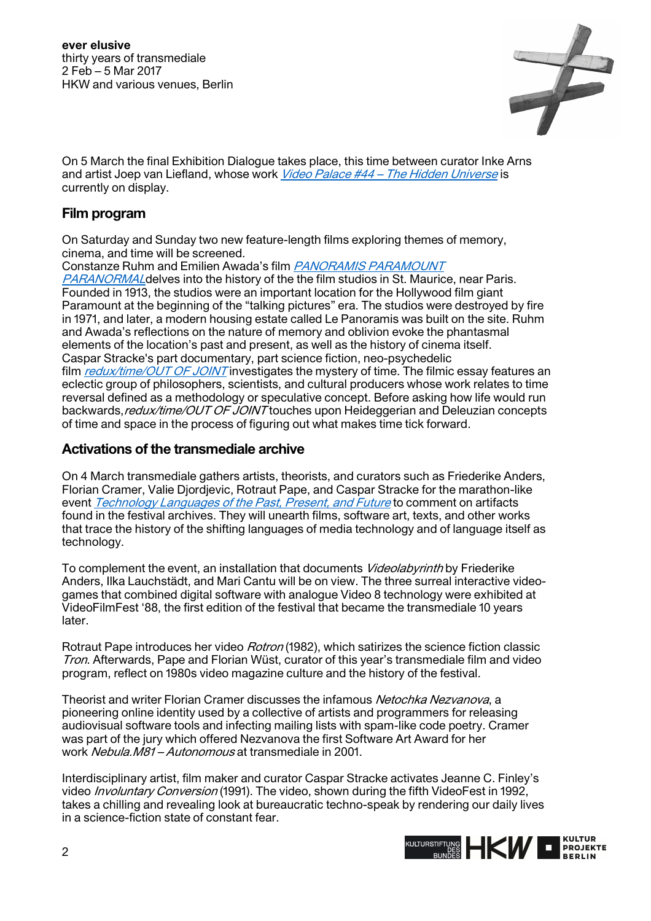

On 5 March the final Exhibition Dialogue takes place, this time between curator Inke Arns and artist Joep van Liefland, whose work *[Video Palace #44 – The Hidden Universe](https://2017.transmediale.de/content/video-palace-44-the-hidden-universe)* is currently on display.

## **Film program**

On Saturday and Sunday two new feature-length films exploring themes of memory, cinema, and time will be screened.

Constanze Ruhm and Emilien Awada's film [PANORAMIS PARAMOUNT](https://2017.transmediale.de/content/panoramis-paramount-paranormal) 

[PARANORMAL](https://2017.transmediale.de/content/panoramis-paramount-paranormal) delves into the history of the the film studios in St. Maurice, near Paris. Founded in 1913, the studios were an important location for the Hollywood film giant Paramount at the beginning of the "talking pictures" era. The studios were destroyed by fire in 1971, and later, a modern housing estate called Le Panoramis was built on the site. Ruhm and Awada's reflections on the nature of memory and oblivion evoke the phantasmal elements of the location's past and present, as well as the history of cinema itself. Caspar Stracke's part documentary, part science fiction, neo-psychedelic film [redux/time/OUT OF JOINT](https://2017.transmediale.de/content/reduxtimeout-of-joint) investigates the mystery of time. The filmic essay features an eclectic group of philosophers, scientists, and cultural producers whose work relates to time reversal defined as a methodology or speculative concept. Before asking how life would run backwards, redux/time/OUT OF JOINT touches upon Heideggerian and Deleuzian concepts of time and space in the process of figuring out what makes time tick forward.

## **Activations of the transmediale archive**

On 4 March transmediale gathers artists, theorists, and curators such as Friederike Anders, Florian Cramer, Valie Djordjevic, Rotraut Pape, and Caspar Stracke for the marathon-like event [Technology Languages of the Past, Present, and Future](https://2017.transmediale.de/content/technology-languages-of-the-past-present-and-future) to comment on artifacts found in the festival archives. They will unearth films, software art, texts, and other works that trace the history of the shifting languages of media technology and of language itself as technology.

To complement the event, an installation that documents *Videolabyrinth* by Friederike Anders, Ilka Lauchstädt, and Mari Cantu will be on view. The three surreal interactive videogames that combined digital software with analogue Video 8 technology were exhibited at VideoFilmFest '88, the first edition of the festival that became the transmediale 10 years later.

Rotraut Pape introduces her video *Rotron* (1982), which satirizes the science fiction classic Tron. Afterwards, Pape and Florian Wüst, curator of this year's transmediale film and video program, reflect on 1980s video magazine culture and the history of the festival.

Theorist and writer Florian Cramer discusses the infamous Netochka Nezvanova, a pioneering online identity used by a collective of artists and programmers for releasing audiovisual software tools and infecting mailing lists with spam-like code poetry. Cramer was part of the jury which offered Nezvanova the first Software Art Award for her work Nebula.M81 – Autonomous at transmediale in 2001.

Interdisciplinary artist, film maker and curator Caspar Stracke activates Jeanne C. Finley's video *Involuntary Conversion* (1991). The video, shown during the fifth VideoFest in 1992, takes a chilling and revealing look at bureaucratic techno-speak by rendering our daily lives in a science-fiction state of constant fear.